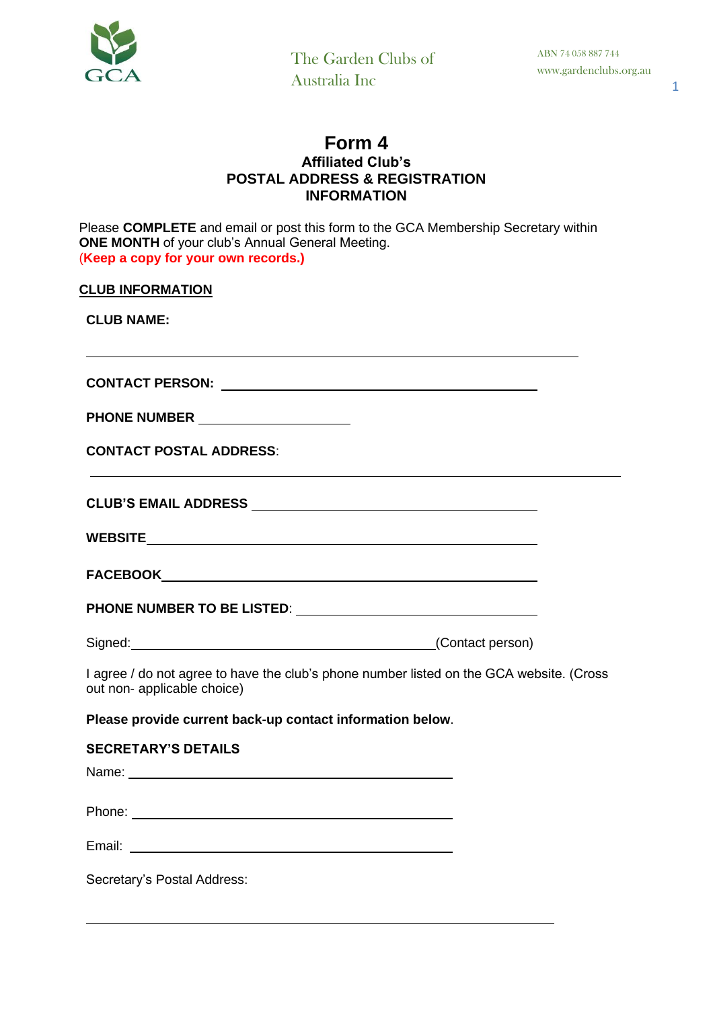

## **Form 4 Affiliated Club's POSTAL ADDRESS & REGISTRATION INFORMATION**

Please **COMPLETE** and email or post this form to the GCA Membership Secretary within **ONE MONTH** of your club's Annual General Meeting. (**Keep a copy for your own records.) CLUB INFORMATION CLUB NAME: CONTACT PERSON: PHONE NUMBER CONTACT POSTAL ADDRESS**: **CLUB'S EMAIL ADDRESS WEBSITE FACEBOOK PHONE NUMBER TO BE LISTED**: Signed: (Contact person) I agree / do not agree to have the club's phone number listed on the GCA website. (Cross out non- applicable choice) **Please provide current back-up contact information below**. **SECRETARY'S DETAILS** Name: Name: Name: Name: Name: Name: Name: Name: Name: Name: Name: Name: Name: Name: Name: Name: Name: Name: Name: Name: Name: Name: Name: Name: Name: Name: Name: Name: Name: Name: Name: Name: Name: Name: Name: Name: Name: Phone: The contract of the contract of the contract of the contract of the contract of the contract of the contract of the contract of the contract of the contract of the contract of the contract of the contract of the con Email:

Secretary's Postal Address: